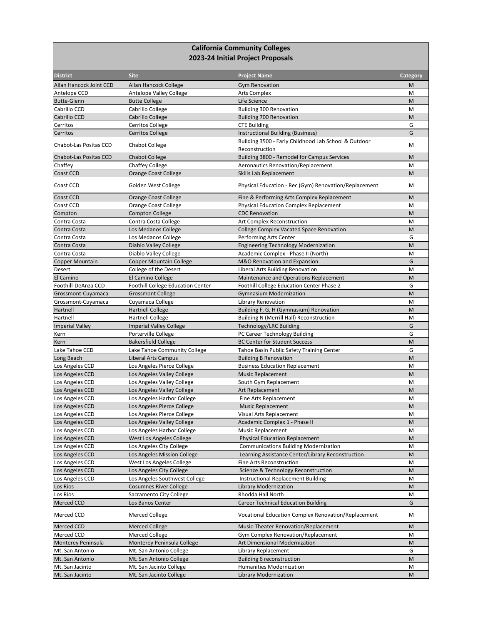## **California Community Colleges 2023-24 Initial Project Proposals**

| <b>District</b>               | <b>Site</b>                       | <b>Project Name</b>                                   | <b>Category</b> |
|-------------------------------|-----------------------------------|-------------------------------------------------------|-----------------|
| Allan Hancock Joint CCD       | Allan Hancock College             | <b>Gym Renovation</b>                                 | M               |
| Antelope CCD                  | Antelope Valley College           | <b>Arts Complex</b>                                   | M               |
| <b>Butte-Glenn</b>            | <b>Butte College</b>              | Life Science                                          | M               |
| Cabrillo CCD                  | Cabrillo College                  | <b>Building 300 Renovation</b>                        | M               |
| Cabrillo CCD                  | Cabrillo College                  | <b>Building 700 Renovation</b>                        | M               |
| Cerritos                      | <b>Cerritos College</b>           | <b>CTE Building</b>                                   | G               |
| Cerritos                      | <b>Cerritos College</b>           | Instructional Building (Business)                     | G               |
| <b>Chabot-Las Positas CCD</b> | <b>Chabot College</b>             | Building 3500 - Early Childhood Lab School & Outdoor  | M               |
|                               |                                   | Reconstruction                                        |                 |
| Chabot-Las Positas CCD        | <b>Chabot College</b>             | Building 3800 - Remodel for Campus Services           | M               |
| Chaffey                       | <b>Chaffey College</b>            | Aeronautics Renovation/Replacement                    | M               |
| Coast CCD                     | <b>Orange Coast College</b>       | Skills Lab Replacement                                | M               |
| Coast CCD                     | Golden West College               | Physical Education - Rec (Gym) Renovation/Replacement | M               |
| Coast CCD                     | Orange Coast College              | Fine & Performing Arts Complex Replacement            | M               |
| Coast CCD                     | Orange Coast College              | <b>Physical Education Complex Replacement</b>         | M               |
| Compton                       | <b>Compton College</b>            | <b>CDC Renovation</b>                                 | M               |
| Contra Costa                  | Contra Costa College              | Art Complex Reconstruction                            | M               |
| Contra Costa                  | Los Medanos College               | <b>College Complex Vacated Space Renovation</b>       | M               |
| Contra Costa                  | Los Medanos College               | Performing Arts Center                                | G               |
| Contra Costa                  | Diablo Valley College             | <b>Engineering Technology Modernization</b>           | M               |
| Contra Costa                  | Diablo Valley College             | Academic Complex - Phase II (North)                   | M               |
| <b>Copper Mountain</b>        | <b>Copper Mountain College</b>    | M&O Renovation and Expansion                          | G               |
|                               |                                   | Liberal Arts Building Renovation                      | M               |
| Desert<br>El Camino           | College of the Desert             |                                                       | M               |
| Foothill-DeAnza CCD           | El Camino College                 | Maintenance and Operations Replacement                |                 |
|                               | Foothill College Education Center | Foothill College Education Center Phase 2             | G               |
| Grossmont-Cuyamaca            | <b>Grossmont College</b>          | <b>Gymnasium Modernization</b>                        | M               |
| Grossmont-Cuyamaca            | Cuyamaca College                  | Library Renovation                                    | M               |
| Hartnell                      | <b>Hartnell College</b>           | Building F, G, H (Gymnasium) Renovation               | M               |
| Hartnell                      | <b>Hartnell College</b>           | <b>Building N (Merrill Hall) Reconstruction</b>       | M               |
| <b>Imperial Valley</b>        | <b>Imperial Valley College</b>    | Technology/LRC Building                               | G               |
| Kern                          | Porterville College               | PC Career Technology Building                         | G               |
| Kern                          | <b>Bakersfield College</b>        | <b>BC Center for Student Success</b>                  | M               |
| Lake Tahoe CCD                | Lake Tahoe Community College      | Tahoe Basin Public Safety Training Center             | G               |
| Long Beach                    | Liberal Arts Campus               | <b>Building B Renovation</b>                          | M               |
| Los Angeles CCD               | Los Angeles Pierce College        | <b>Business Education Replacement</b>                 | M               |
| Los Angeles CCD               | Los Angeles Valley College        | <b>Music Replacement</b>                              | M               |
| Los Angeles CCD               | Los Angeles Valley College        | South Gym Replacement                                 | M               |
| Los Angeles CCD               | Los Angeles Valley College        | Art Replacement                                       | M               |
| Los Angeles CCD               | Los Angeles Harbor College        | Fine Arts Replacement                                 | M               |
| Los Angeles CCD               | Los Angeles Pierce College        | <b>Music Replacement</b>                              | M               |
| Los Angeles CCD               | Los Angeles Pierce College        | Visual Arts Replacement                               | M               |
| Los Angeles CCD               | Los Angeles Valley College        | Academic Complex 1 - Phase II                         | M               |
| Los Angeles CCD               | Los Angeles Harbor College        | Music Replacement                                     | M               |
| Los Angeles CCD               | West Los Angeles College          | <b>Physical Education Replacement</b>                 | M               |
| Los Angeles CCD               | Los Angeles City College          | <b>Communications Building Modernization</b>          | M               |
| Los Angeles CCD               | Los Angeles Mission College       | Learning Assistance Center/Library Reconstruction     | M               |
| Los Angeles CCD               | West Los Angeles College          | Fine Arts Reconstruction                              | M               |
| Los Angeles CCD               | Los Angeles City College          | Science & Technology Reconstruction                   | M               |
| Los Angeles CCD               | Los Angeles Southwest College     | Instructional Replacement Building                    | М               |
| Los Rios                      | <b>Cosumnes River College</b>     | Library Modernization                                 | M               |
| Los Rios                      | Sacramento City College           | Rhodda Hall North                                     | M               |
| Merced CCD                    | Los Banos Center                  | <b>Career Technical Education Building</b>            | G               |
| Merced CCD                    | Merced College                    | Vocational Education Complex Renovation/Replacement   | М               |
| Merced CCD                    | <b>Merced College</b>             | Music-Theater Renovation/Replacement                  | M               |
| Merced CCD                    | Merced College                    | Gym Complex Renovation/Replacement                    | M               |
| Monterey Peninsula            | Monterey Peninsula College        | Art Dimensional Modernization                         | M               |
| Mt. San Antonio               | Mt. San Antonio College           | Library Replacement                                   | G               |
| Mt. San Antonio               | Mt. San Antonio College           | <b>Building 6 reconstruction</b>                      | M               |
| Mt. San Jacinto               | Mt. San Jacinto College           | Humanities Modernization                              | M               |
|                               |                                   |                                                       |                 |
| Mt. San Jacinto               | Mt. San Jacinto College           | <b>Library Modernization</b>                          | M               |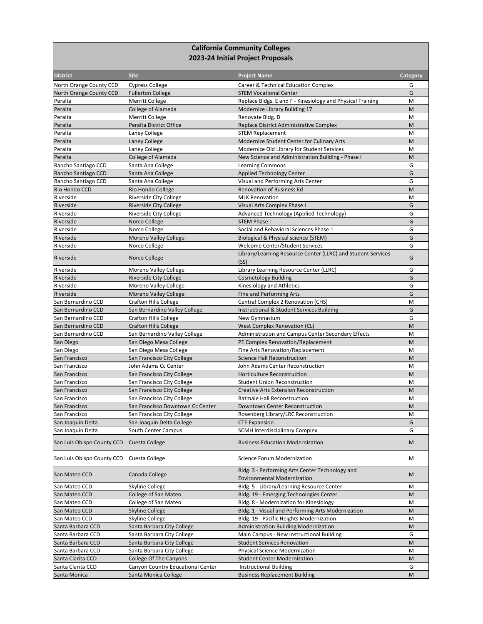## **California Community Colleges 2023-24 Initial Project Proposals**

| <b>District</b>            | <b>Site</b>                       | <b>Project Name</b>                                                                   | Category |
|----------------------------|-----------------------------------|---------------------------------------------------------------------------------------|----------|
| North Orange County CCD    | <b>Cypress College</b>            | Career & Technical Education Complex                                                  | G        |
| North Orange County CCD    | <b>Fullerton College</b>          | <b>STEM Vocational Center</b>                                                         | G        |
| Peralta                    | <b>Merritt College</b>            | Replace Bldgs. E and F - Kinesiology and Physical Training                            | M        |
| Peralta                    | <b>College of Alameda</b>         | Modernize Library Building 17                                                         | M        |
| Peralta                    | <b>Merritt College</b>            | Renovate Bldg. D                                                                      | M        |
| Peralta                    | Peralta District Office           | Replace District Administrative Complex                                               | M        |
| Peralta                    | Laney College                     | <b>STEM Replacement</b>                                                               | M        |
| Peralta                    | Laney College                     | Modernize Student Center for Culinary Arts                                            | M        |
| Peralta                    | Laney College                     | Modernize Old Library for Student Services                                            | M        |
| Peralta                    | College of Alameda                | New Science and Administration Building - Phase I                                     | M        |
| Rancho Santiago CCD        | Santa Ana College                 | <b>Learning Commons</b>                                                               | G        |
| Rancho Santiago CCD        | Santa Ana College                 | <b>Applied Technology Center</b>                                                      | G        |
| Rancho Santiago CCD        | Santa Ana College                 | Visual and Performing Arts Center                                                     | G        |
| Rio Hondo CCD              | Rio Hondo College                 | <b>Renovation of Business Ed</b>                                                      | M        |
| Riverside                  | Riverside City College            | <b>MLK Renovation</b>                                                                 | M        |
| Riverside                  | <b>Riverside City College</b>     | Visual Arts Complex Phase I                                                           | G        |
| Riverside                  | Riverside City College            | Advanced Technology (Applied Technology)                                              | G        |
| Riverside                  | Norco College                     | <b>STEM Phase I</b>                                                                   | G        |
| Riverside                  | Norco College                     | Social and Behavioral Sciences Phase 1                                                | G        |
| Riverside                  | <b>Moreno Valley College</b>      | Biological & Physical science (STEM)                                                  | G        |
| Riverside                  |                                   | <b>Welcome Center/Student Services</b>                                                | G        |
|                            | Norco College                     |                                                                                       |          |
| Riverside                  | Norco College                     | Library/Learning Resource Center (LLRC) and Student Services<br>(SS)                  | G        |
| Riverside                  | Moreno Valley College             | Library Learning Resource Center (LLRC)                                               | G        |
| Riverside                  | <b>Riverside City College</b>     | <b>Cosmetology Building</b>                                                           | G        |
|                            | Moreno Valley College             |                                                                                       |          |
| Riverside                  |                                   | Kinesiology and Athletics                                                             | G<br>G   |
| Riverside                  | Moreno Valley College             | Fine and Performing Arts                                                              |          |
| San Bernardino CCD         | <b>Crafton Hills College</b>      | Central Complex 2 Renovation (CHS)                                                    | M        |
| San Bernardino CCD         | San Bernardino Valley College     | Instructional & Student Services Building                                             | G        |
| San Bernardino CCD         | <b>Crafton Hills College</b>      | New Gymnasium                                                                         | G        |
| San Bernardino CCD         | <b>Crafton Hills College</b>      | West Complex Renovation (CL)                                                          | M        |
| San Bernardino CCD         | San Bernardino Valley College     | Administration and Campus Center Secondary Effects                                    | M        |
| San Diego                  | San Diego Mesa College            | PE Complex Renovation/Replacement                                                     | M        |
| San Diego                  | San Diego Mesa College            | Fine Arts Renovation/Replacement                                                      | M        |
| San Francisco              | San Francisco City College        | <b>Science Hall Reconstruction</b>                                                    | M        |
| San Francisco              | John Adams Cc Center              | John Adams Center Reconstruction                                                      | M        |
| San Francisco              | San Francisco City College        | Horticulture Reconstruction                                                           | M        |
| San Francisco              | San Francisco City College        | <b>Student Union Reconstruction</b>                                                   | M        |
| San Francisco              | San Francisco City College        | <b>Creative Arts Extension Reconstruction</b>                                         | M        |
| San Francisco              | San Francisco City College        | <b>Batmale Hall Reconstruction</b>                                                    | M        |
| San Francisco              | San Francisco Downtown Cc Center  | Downtown Center Reconstruction                                                        | M        |
| San Francisco              | San Francisco City College        | Rosenberg Library/LRC Reconstruction                                                  | M        |
| San Joaquin Delta          | San Joaquin Delta College         | <b>CTE Expansion</b>                                                                  | G        |
| San Joaquin Delta          | South Center Campus               | <b>SCMH Interdisciplinary Complex</b>                                                 | G        |
| San Luis Obispo County CCD | Cuesta College                    | <b>Business Education Modernization</b>                                               | M        |
| San Luis Obispo County CCD | Cuesta College                    | Science Forum Modernization                                                           | М        |
| San Mateo CCD              | Canada College                    | Bldg. 3 - Performing Arts Center Technology and<br><b>Environmental Modernization</b> | M        |
| San Mateo CCD              | Skyline College                   | Bldg. 5 - Library/Learning Resource Center                                            | M        |
| San Mateo CCD              | College of San Mateo              | Bldg. 19 - Emerging Technologies Center                                               | M        |
| San Mateo CCD              | College of San Mateo              | Bldg. 8 - Modernization for Kinesiology                                               | M        |
| San Mateo CCD              | <b>Skyline College</b>            | Bldg. 1 - Visual and Performing Arts Modernization                                    | M        |
| San Mateo CCD              | Skyline College                   | Bldg. 19 - Pacific Heights Modernization                                              | M        |
| Santa Barbara CCD          | Santa Barbara City College        | <b>Administration Building Modernization</b>                                          | M        |
| Santa Barbara CCD          | Santa Barbara City College        | Main Campus - New Instructional Building                                              | G        |
| Santa Barbara CCD          | Santa Barbara City College        | <b>Student Services Renovation</b>                                                    | M        |
| Santa Barbara CCD          | Santa Barbara City College        | <b>Physical Science Modernization</b>                                                 | M        |
|                            |                                   |                                                                                       |          |
| Santa Clarita CCD          | College Of The Canyons            | <b>Student Center Modernization</b>                                                   | M<br>G   |
| Santa Clarita CCD          | Canyon Country Educational Center | <b>Instructional Building</b>                                                         |          |
| Santa Monica               | Santa Monica College              | <b>Business Replacement Building</b>                                                  | M        |